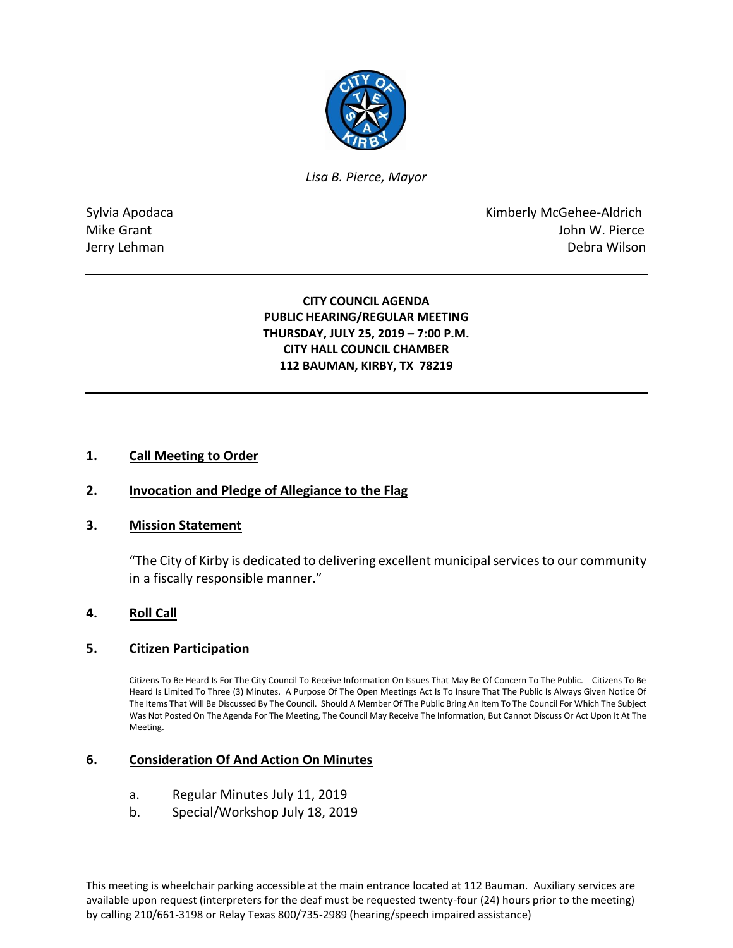

*Lisa B. Pierce, Mayor* 

Sylvia Apodaca **Kimberly McGehee-Aldrich** Mike Grant **Mike Grant** John W. Pierce Jerry Lehman Debra Wilson

> **CITY COUNCIL AGENDA PUBLIC HEARING/REGULAR MEETING THURSDAY, JULY 25, 2019 – 7:00 P.M. CITY HALL COUNCIL CHAMBER 112 BAUMAN, KIRBY, TX 78219**

### **1. Call Meeting to Order**

### **2. Invocation and Pledge of Allegiance to the Flag**

### **3. Mission Statement**

"The City of Kirby is dedicated to delivering excellent municipal services to our community in a fiscally responsible manner."

### **4. Roll Call**

### **5. Citizen Participation**

Citizens To Be Heard Is For The City Council To Receive Information On Issues That May Be Of Concern To The Public. Citizens To Be Heard Is Limited To Three (3) Minutes. A Purpose Of The Open Meetings Act Is To Insure That The Public Is Always Given Notice Of The Items That Will Be Discussed By The Council. Should A Member Of The Public Bring An Item To The Council For Which The Subject Was Not Posted On The Agenda For The Meeting, The Council May Receive The Information, But Cannot Discuss Or Act Upon It At The Meeting.

### **6. Consideration Of And Action On Minutes**

- a. Regular Minutes July 11, 2019
- b. Special/Workshop July 18, 2019

This meeting is wheelchair parking accessible at the main entrance located at 112 Bauman. Auxiliary services are available upon request (interpreters for the deaf must be requested twenty-four (24) hours prior to the meeting) by calling 210/661-3198 or Relay Texas 800/735-2989 (hearing/speech impaired assistance)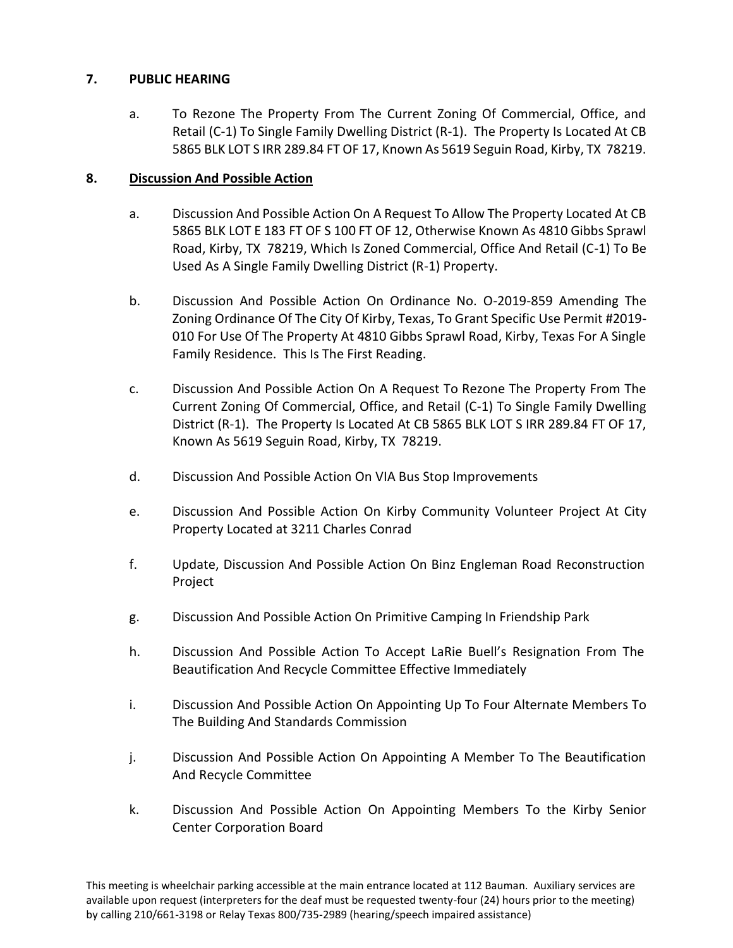# **7. PUBLIC HEARING**

a. To Rezone The Property From The Current Zoning Of Commercial, Office, and Retail (C-1) To Single Family Dwelling District (R-1). The Property Is Located At CB 5865 BLK LOT S IRR 289.84 FT OF 17, Known As 5619 Seguin Road, Kirby, TX 78219.

# **8. Discussion And Possible Action**

- a. Discussion And Possible Action On A Request To Allow The Property Located At CB 5865 BLK LOT E 183 FT OF S 100 FT OF 12, Otherwise Known As 4810 Gibbs Sprawl Road, Kirby, TX 78219, Which Is Zoned Commercial, Office And Retail (C-1) To Be Used As A Single Family Dwelling District (R-1) Property.
- b. Discussion And Possible Action On Ordinance No. O-2019-859 Amending The Zoning Ordinance Of The City Of Kirby, Texas, To Grant Specific Use Permit #2019- 010 For Use Of The Property At 4810 Gibbs Sprawl Road, Kirby, Texas For A Single Family Residence. This Is The First Reading.
- c. Discussion And Possible Action On A Request To Rezone The Property From The Current Zoning Of Commercial, Office, and Retail (C-1) To Single Family Dwelling District (R-1). The Property Is Located At CB 5865 BLK LOT S IRR 289.84 FT OF 17, Known As 5619 Seguin Road, Kirby, TX 78219.
- d. Discussion And Possible Action On VIA Bus Stop Improvements
- e. Discussion And Possible Action On Kirby Community Volunteer Project At City Property Located at 3211 Charles Conrad
- f. Update, Discussion And Possible Action On Binz Engleman Road Reconstruction Project
- g. Discussion And Possible Action On Primitive Camping In Friendship Park
- h. Discussion And Possible Action To Accept LaRie Buell's Resignation From The Beautification And Recycle Committee Effective Immediately
- i. Discussion And Possible Action On Appointing Up To Four Alternate Members To The Building And Standards Commission
- j. Discussion And Possible Action On Appointing A Member To The Beautification And Recycle Committee
- k. Discussion And Possible Action On Appointing Members To the Kirby Senior Center Corporation Board

This meeting is wheelchair parking accessible at the main entrance located at 112 Bauman. Auxiliary services are available upon request (interpreters for the deaf must be requested twenty-four (24) hours prior to the meeting) by calling 210/661-3198 or Relay Texas 800/735-2989 (hearing/speech impaired assistance)